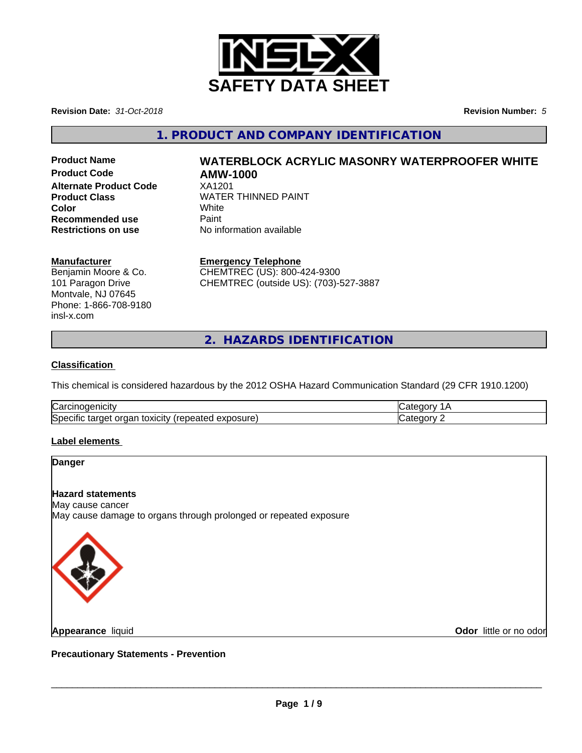

**Revision Date:** *31-Oct-2018* **Revision Number:** *5*

**1. PRODUCT AND COMPANY IDENTIFICATION**

**Product Code AMW-1000 Alternate Product Code** XA1201 **Recommended use** Paint<br> **Restrictions on use** No inf

# **Product Name WATERBLOCK ACRYLIC MASONRY WATERPROOFER WHITE**

**Product Class WATER THINNED PAINT Color** White White **Restrictions on use** No information available

### **Manufacturer**

Benjamin Moore & Co. 101 Paragon Drive Montvale, NJ 07645 Phone: 1-866-708-9180 insl-x.com

**Emergency Telephone**

CHEMTREC (US): 800-424-9300 CHEMTREC (outside US): (703)-527-3887

**2. HAZARDS IDENTIFICATION**

### **Classification**

This chemical is considered hazardous by the 2012 OSHA Hazard Communication Standard (29 CFR 1910.1200)

| ∽<br>Nai<br>ш                                                           |  |
|-------------------------------------------------------------------------|--|
| ∽<br> Spr<br>∵ ∨xicit∨. د<br>exposure<br>arnet .<br>epeared<br>uar<br>- |  |

### **Label elements**

# **Danger Hazard statements** May cause cancer May cause damage to organs through prolonged or repeated exposure



**Appearance** liquid

**Odor** little or no odor

**Precautionary Statements - Prevention**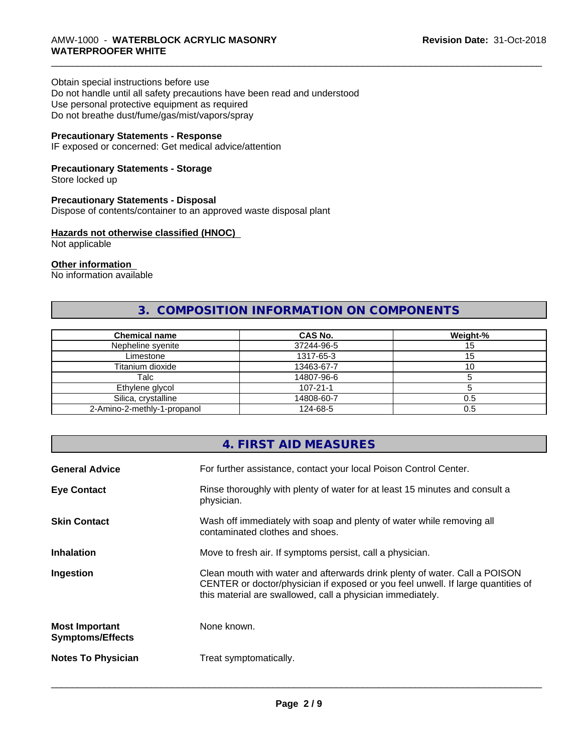## \_\_\_\_\_\_\_\_\_\_\_\_\_\_\_\_\_\_\_\_\_\_\_\_\_\_\_\_\_\_\_\_\_\_\_\_\_\_\_\_\_\_\_\_\_\_\_\_\_\_\_\_\_\_\_\_\_\_\_\_\_\_\_\_\_\_\_\_\_\_\_\_\_\_\_\_\_\_\_\_\_\_\_\_\_\_\_\_\_\_\_\_\_ AMW-1000 - **WATERBLOCK ACRYLIC MASONRY WATERPROOFER WHITE**

#### Obtain special instructions before use

Do not handle until all safety precautions have been read and understood Use personal protective equipment as required Do not breathe dust/fume/gas/mist/vapors/spray

### **Precautionary Statements - Response**

IF exposed or concerned: Get medical advice/attention

### **Precautionary Statements - Storage**

Store locked up

#### **Precautionary Statements - Disposal**

Dispose of contents/container to an approved waste disposal plant

### **Hazards not otherwise classified (HNOC)**

Not applicable

### **Other information**

No information available

### **3. COMPOSITION INFORMATION ON COMPONENTS**

| <b>Chemical name</b>        | <b>CAS No.</b> | Weight-% |
|-----------------------------|----------------|----------|
| Nepheline syenite           | 37244-96-5     | ن ا      |
| Limestone                   | 1317-65-3      |          |
| Titanium dioxide            | 13463-67-7     | 10       |
| Talc                        | 14807-96-6     |          |
| Ethylene glycol             | $107 - 21 - 1$ |          |
| Silica, crystalline         | 14808-60-7     | 0.5      |
| 2-Amino-2-methly-1-propanol | 124-68-5       | 0.5      |

## **4. FIRST AID MEASURES General Advice** For further assistance, contact your local Poison Control Center. **Eye Contact Rinse thoroughly with plenty of water for at least 15 minutes and consult a** physician. **Skin Contact** Wash off immediately with soap and plenty of water while removing all contaminated clothes and shoes. **Inhalation** Move to fresh air. If symptoms persist, call a physician. **Ingestion** Clean mouth with water and afterwards drink plenty of water. Call a POISON CENTER or doctor/physician if exposed or you feel unwell. If large quantities of this material are swallowed, call a physician immediately. **Most Important Symptoms/Effects** None known. **Notes To Physician** Treat symptomatically.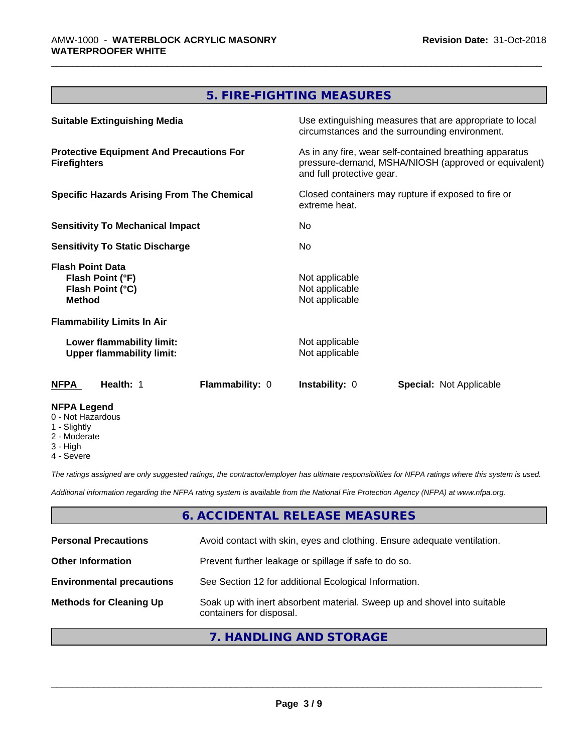### **5. FIRE-FIGHTING MEASURES**

| <b>Suitable Extinguishing Media</b>                                              | Use extinguishing measures that are appropriate to local<br>circumstances and the surrounding environment.                                   |  |
|----------------------------------------------------------------------------------|----------------------------------------------------------------------------------------------------------------------------------------------|--|
| <b>Protective Equipment And Precautions For</b><br><b>Firefighters</b>           | As in any fire, wear self-contained breathing apparatus<br>pressure-demand, MSHA/NIOSH (approved or equivalent)<br>and full protective gear. |  |
| <b>Specific Hazards Arising From The Chemical</b>                                | Closed containers may rupture if exposed to fire or<br>extreme heat.                                                                         |  |
| <b>Sensitivity To Mechanical Impact</b>                                          | No.                                                                                                                                          |  |
| <b>Sensitivity To Static Discharge</b>                                           | No.                                                                                                                                          |  |
| <b>Flash Point Data</b><br>Flash Point (°F)<br>Flash Point (°C)<br><b>Method</b> | Not applicable<br>Not applicable<br>Not applicable                                                                                           |  |
| <b>Flammability Limits In Air</b>                                                |                                                                                                                                              |  |
| Lower flammability limit:<br><b>Upper flammability limit:</b>                    | Not applicable<br>Not applicable                                                                                                             |  |
| Health: 1<br><b>Flammability: 0</b><br><b>NFPA</b>                               | <b>Instability: 0</b><br><b>Special: Not Applicable</b>                                                                                      |  |
| <b>NFPA Legend</b><br>0 - Not Hazardous<br>1 - Slightly                          |                                                                                                                                              |  |

- 2 Moderate
- 3 High
- 4 Severe

*The ratings assigned are only suggested ratings, the contractor/employer has ultimate responsibilities for NFPA ratings where this system is used.*

*Additional information regarding the NFPA rating system is available from the National Fire Protection Agency (NFPA) at www.nfpa.org.*

### **6. ACCIDENTAL RELEASE MEASURES**

| <b>Personal Precautions</b>      | Avoid contact with skin, eyes and clothing. Ensure adequate ventilation.                             |
|----------------------------------|------------------------------------------------------------------------------------------------------|
| <b>Other Information</b>         | Prevent further leakage or spillage if safe to do so.                                                |
| <b>Environmental precautions</b> | See Section 12 for additional Ecological Information.                                                |
| <b>Methods for Cleaning Up</b>   | Soak up with inert absorbent material. Sweep up and shovel into suitable<br>containers for disposal. |

### **7. HANDLING AND STORAGE**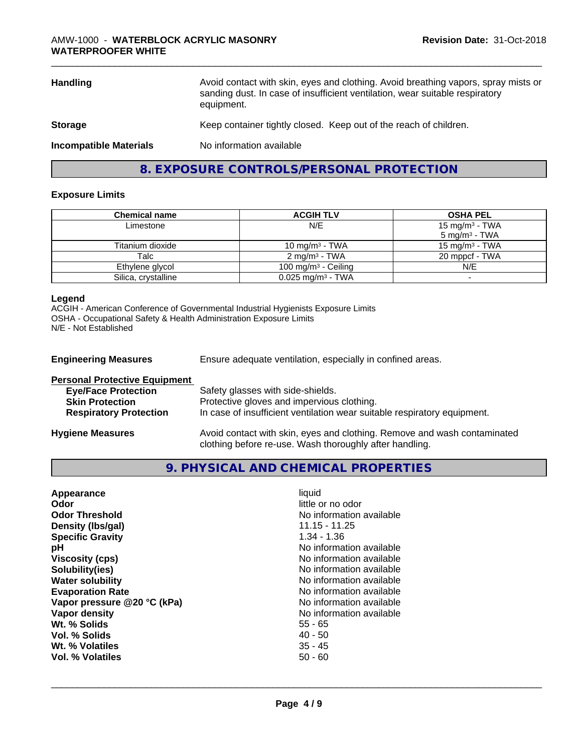| <b>Handling</b>               | Avoid contact with skin, eyes and clothing. Avoid breathing vapors, spray mists or<br>sanding dust. In case of insufficient ventilation, wear suitable respiratory<br>equipment. |
|-------------------------------|----------------------------------------------------------------------------------------------------------------------------------------------------------------------------------|
| <b>Storage</b>                | Keep container tightly closed. Keep out of the reach of children.                                                                                                                |
| <b>Incompatible Materials</b> | No information available                                                                                                                                                         |

**8. EXPOSURE CONTROLS/PERSONAL PROTECTION**

### **Exposure Limits**

| <b>Chemical name</b> | <b>ACGIH TLV</b>                | <b>OSHA PEL</b>            |
|----------------------|---------------------------------|----------------------------|
| Limestone            | N/E                             | 15 mg/m <sup>3</sup> - TWA |
|                      |                                 | $5 \text{ mg/m}^3$ - TWA   |
| Titanium dioxide     | 10 mg/m $3$ - TWA               | 15 mg/m $3$ - TWA          |
| Talc                 | $2 \text{ ma/m}^3$ - TWA        | 20 mppcf - TWA             |
| Ethylene glycol      | 100 mg/m $3$ - Ceiling          | N/E                        |
| Silica, crystalline  | $0.025$ mg/m <sup>3</sup> - TWA |                            |

### **Legend**

ACGIH - American Conference of Governmental Industrial Hygienists Exposure Limits OSHA - Occupational Safety & Health Administration Exposure Limits N/E - Not Established

| <b>Engineering Measures</b>                                                                  | Ensure adequate ventilation, especially in confined areas.                      |
|----------------------------------------------------------------------------------------------|---------------------------------------------------------------------------------|
| <b>Personal Protective Equipment</b><br><b>Eye/Face Protection</b><br><b>Skin Protection</b> | Safety glasses with side-shields.<br>Protective gloves and impervious clothing. |
| <b>Respiratory Protection</b>                                                                | In case of insufficient ventilation wear suitable respiratory equipment.        |
|                                                                                              |                                                                                 |

**Hygiene Measures** Avoid contact with skin, eyes and clothing. Remove and wash contaminated clothing before re-use. Wash thoroughly after handling.

**9. PHYSICAL AND CHEMICAL PROPERTIES**

| Appearance                  | liquid                   |
|-----------------------------|--------------------------|
| Odor                        | little or no odor        |
| <b>Odor Threshold</b>       | No information available |
| Density (Ibs/gal)           | $11.15 - 11.25$          |
| <b>Specific Gravity</b>     | $1.34 - 1.36$            |
| рH                          | No information available |
| <b>Viscosity (cps)</b>      | No information available |
| Solubility(ies)             | No information available |
| <b>Water solubility</b>     | No information available |
| <b>Evaporation Rate</b>     | No information available |
| Vapor pressure @20 °C (kPa) | No information available |
| Vapor density               | No information available |
| Wt. % Solids                | $55 - 65$                |
| Vol. % Solids               | $40 - 50$                |
| Wt. % Volatiles             | $35 - 45$                |
| Vol. % Volatiles            | $50 - 60$                |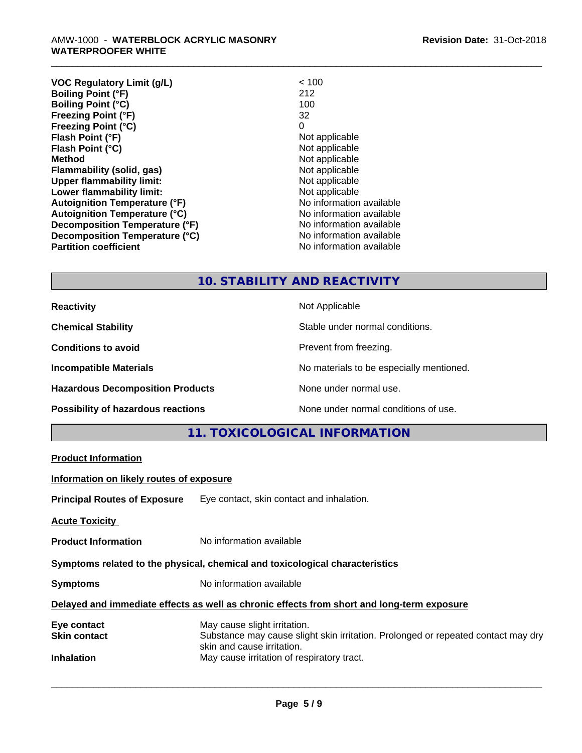| <b>VOC Regulatory Limit (g/L)</b>    | < 100                    |
|--------------------------------------|--------------------------|
| <b>Boiling Point (°F)</b>            | 212                      |
| <b>Boiling Point (°C)</b>            | 100                      |
| <b>Freezing Point (°F)</b>           | 32                       |
| <b>Freezing Point (°C)</b>           | 0                        |
| Flash Point (°F)                     | Not applicable           |
| Flash Point (°C)                     | Not applicable           |
| <b>Method</b>                        | Not applicable           |
| Flammability (solid, gas)            | Not applicable           |
| <b>Upper flammability limit:</b>     | Not applicable           |
| Lower flammability limit:            | Not applicable           |
| <b>Autoignition Temperature (°F)</b> | No information available |
| <b>Autoignition Temperature (°C)</b> | No information available |
| Decomposition Temperature (°F)       | No information available |
| Decomposition Temperature (°C)       | No information available |
| <b>Partition coefficient</b>         | No information available |
|                                      |                          |

### **10. STABILITY AND REACTIVITY**

| <b>Reactivity</b>                       | Not Applicable                           |
|-----------------------------------------|------------------------------------------|
| <b>Chemical Stability</b>               | Stable under normal conditions.          |
| <b>Conditions to avoid</b>              | Prevent from freezing.                   |
| <b>Incompatible Materials</b>           | No materials to be especially mentioned. |
| <b>Hazardous Decomposition Products</b> | None under normal use.                   |
| Possibility of hazardous reactions      | None under normal conditions of use.     |

### **11. TOXICOLOGICAL INFORMATION**

| <b>Product Information</b>                                                                 |                                                                                                                                                 |  |
|--------------------------------------------------------------------------------------------|-------------------------------------------------------------------------------------------------------------------------------------------------|--|
| Information on likely routes of exposure                                                   |                                                                                                                                                 |  |
|                                                                                            | <b>Principal Routes of Exposure</b> Eye contact, skin contact and inhalation.                                                                   |  |
| <b>Acute Toxicity</b>                                                                      |                                                                                                                                                 |  |
| <b>Product Information</b>                                                                 | No information available                                                                                                                        |  |
| Symptoms related to the physical, chemical and toxicological characteristics               |                                                                                                                                                 |  |
| <b>Symptoms</b>                                                                            | No information available                                                                                                                        |  |
| Delayed and immediate effects as well as chronic effects from short and long-term exposure |                                                                                                                                                 |  |
| Eye contact<br><b>Skin contact</b>                                                         | May cause slight irritation.<br>Substance may cause slight skin irritation. Prolonged or repeated contact may dry<br>skin and cause irritation. |  |
| <b>Inhalation</b>                                                                          | May cause irritation of respiratory tract.                                                                                                      |  |
|                                                                                            |                                                                                                                                                 |  |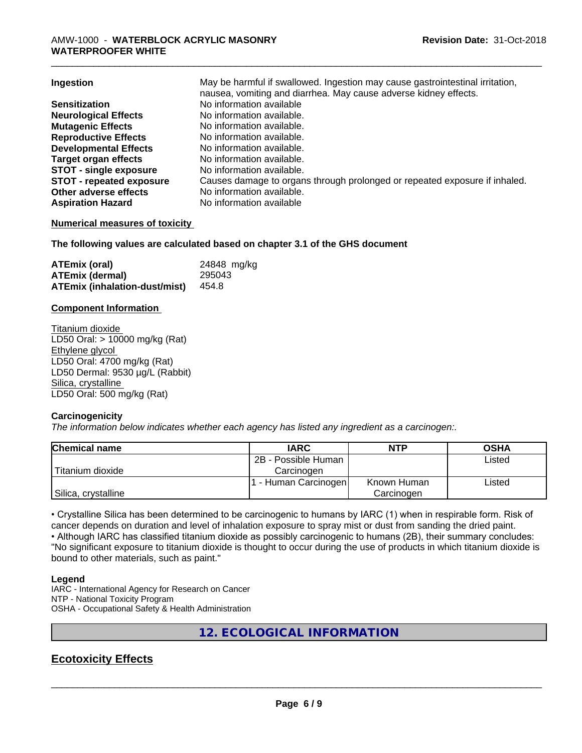| Ingestion                       | May be harmful if swallowed. Ingestion may cause gastrointestinal irritation, |
|---------------------------------|-------------------------------------------------------------------------------|
|                                 | nausea, vomiting and diarrhea. May cause adverse kidney effects.              |
| <b>Sensitization</b>            | No information available                                                      |
| <b>Neurological Effects</b>     | No information available.                                                     |
| <b>Mutagenic Effects</b>        | No information available.                                                     |
| <b>Reproductive Effects</b>     | No information available.                                                     |
| <b>Developmental Effects</b>    | No information available.                                                     |
| <b>Target organ effects</b>     | No information available.                                                     |
| <b>STOT - single exposure</b>   | No information available.                                                     |
| <b>STOT - repeated exposure</b> | Causes damage to organs through prolonged or repeated exposure if inhaled.    |
| Other adverse effects           | No information available.                                                     |
| <b>Aspiration Hazard</b>        | No information available                                                      |

### **Numerical measures of toxicity**

### **The following values are calculated based on chapter 3.1 of the GHS document**

| ATEmix (oral)                 | 24848 mg/kg |
|-------------------------------|-------------|
| <b>ATEmix (dermal)</b>        | 295043      |
| ATEmix (inhalation-dust/mist) | 454.8       |

### **Component Information**

Titanium dioxide LD50 Oral: > 10000 mg/kg (Rat) Ethylene glycol LD50 Oral: 4700 mg/kg (Rat) LD50 Dermal: 9530 µg/L (Rabbit) Silica, crystalline LD50 Oral: 500 mg/kg (Rat)

### **Carcinogenicity**

*The information below indicateswhether each agency has listed any ingredient as a carcinogen:.*

| <b>Chemical name</b> | <b>IARC</b>         | <b>NTP</b>  | <b>OSHA</b> |
|----------------------|---------------------|-------------|-------------|
|                      | 2B - Possible Human |             | Listed      |
| Titanium dioxide     | Carcinoɑen          |             |             |
|                      | - Human Carcinogen  | Known Human | Listed      |
| Silica, crystalline  |                     | Carcinogen  |             |

• Crystalline Silica has been determined to be carcinogenic to humans by IARC (1) when in respirable form. Risk of cancer depends on duration and level of inhalation exposure to spray mist or dust from sanding the dried paint.• Although IARC has classified titanium dioxide as possibly carcinogenic to humans (2B), their summary concludes: "No significant exposure to titanium dioxide is thought to occur during the use of products in which titanium dioxide is bound to other materials, such as paint."

### **Legend**

IARC - International Agency for Research on Cancer NTP - National Toxicity Program OSHA - Occupational Safety & Health Administration

### **12. ECOLOGICAL INFORMATION**

### **Ecotoxicity Effects**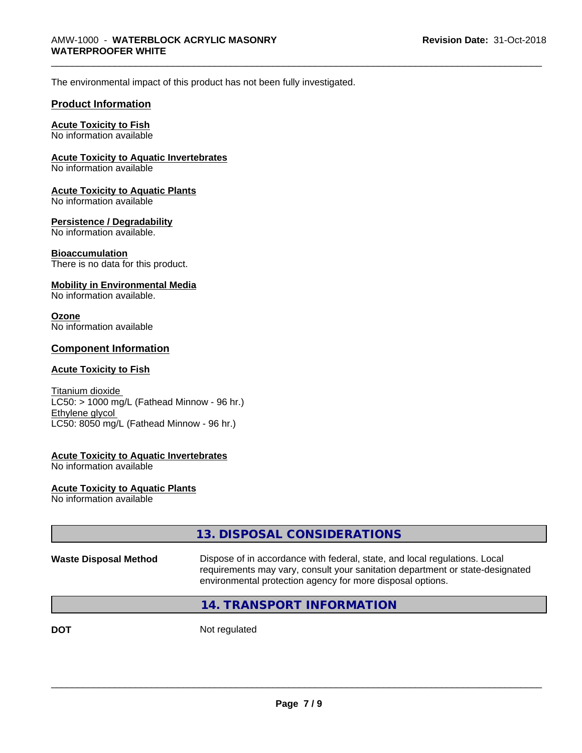The environmental impact of this product has not been fully investigated.

### **Product Information**

### **Acute Toxicity to Fish**

No information available

### **Acute Toxicity to Aquatic Invertebrates**

No information available

#### **Acute Toxicity to Aquatic Plants**

No information available

### **Persistence / Degradability**

No information available.

#### **Bioaccumulation**

There is no data for this product.

### **Mobility in Environmental Media**

No information available.

#### **Ozone**

No information available

### **Component Information**

### **Acute Toxicity to Fish**

Titanium dioxide  $LC50:$  > 1000 mg/L (Fathead Minnow - 96 hr.) Ethylene glycol LC50: 8050 mg/L (Fathead Minnow - 96 hr.)

#### **Acute Toxicity to Aquatic Invertebrates**

No information available

### **Acute Toxicity to Aquatic Plants**

No information available

|                              | 13. DISPOSAL CONSIDERATIONS                                                                                                                                                                                               |
|------------------------------|---------------------------------------------------------------------------------------------------------------------------------------------------------------------------------------------------------------------------|
| <b>Waste Disposal Method</b> | Dispose of in accordance with federal, state, and local regulations. Local<br>requirements may vary, consult your sanitation department or state-designated<br>environmental protection agency for more disposal options. |
|                              | 14. TRANSPORT INFORMATION                                                                                                                                                                                                 |

**DOT** Not regulated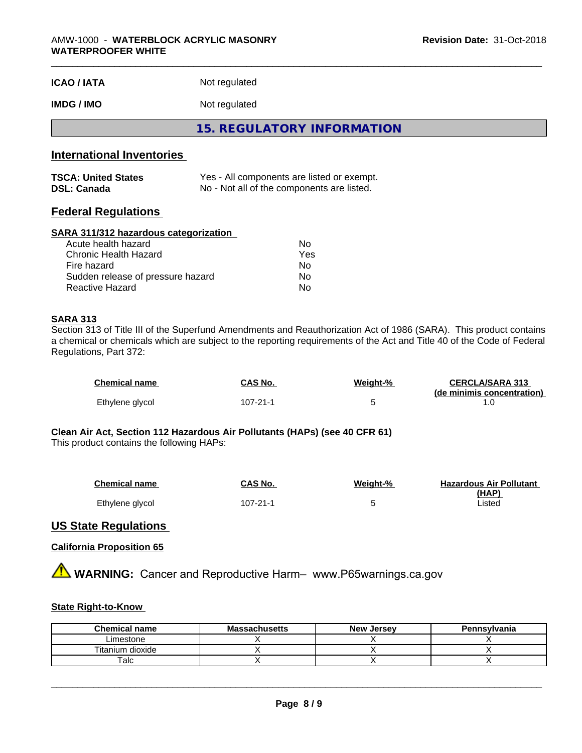| <b>ICAO / IATA</b> | Not regulated |  |
|--------------------|---------------|--|
|--------------------|---------------|--|

### **IMDG / IMO** Not regulated

**15. REGULATORY INFORMATION**

### **International Inventories**

| <b>TSCA: United States</b> | Yes - All components are listed or exempt. |
|----------------------------|--------------------------------------------|
| <b>DSL: Canada</b>         | No - Not all of the components are listed. |

### **Federal Regulations**

#### **SARA 311/312 hazardous categorization**

| Acute health hazard               | Nο  |  |
|-----------------------------------|-----|--|
| Chronic Health Hazard             | Yes |  |
| Fire hazard                       | Nο  |  |
| Sudden release of pressure hazard | N٥  |  |
| Reactive Hazard                   | Nο  |  |

#### **SARA 313**

Section 313 of Title III of the Superfund Amendments and Reauthorization Act of 1986 (SARA). This product contains a chemical or chemicals which are subject to the reporting requirements of the Act and Title 40 of the Code of Federal Regulations, Part 372:

| <b>Chemical name</b> | CAS No.  | Weight-% | <b>CERCLA/SARA 313</b><br>(de minimis concentration) |
|----------------------|----------|----------|------------------------------------------------------|
| Ethylene glycol      | 107-21-1 |          |                                                      |

#### **Clean Air Act,Section 112 Hazardous Air Pollutants (HAPs) (see 40 CFR 61)**

This product contains the following HAPs:

| <b>Chemical name</b> | CAS No.  | Weight-% | <b>Hazardous Air Pollutant</b> |
|----------------------|----------|----------|--------------------------------|
|                      |          |          | (HAP)                          |
| Ethylene glycol      | 107-21-1 |          | ∟isted                         |

### **US State Regulations**

#### **California Proposition 65**

**A WARNING:** Cancer and Reproductive Harm– www.P65warnings.ca.gov

### **State Right-to-Know**

| <b>Chemical name</b> | <b>Massachusetts</b> | <b>New Jersey</b> | Pennsylvania |
|----------------------|----------------------|-------------------|--------------|
| ∟imestone            |                      |                   |              |
| dioxide<br>Titanium  |                      |                   |              |
| ˈalc                 |                      |                   |              |